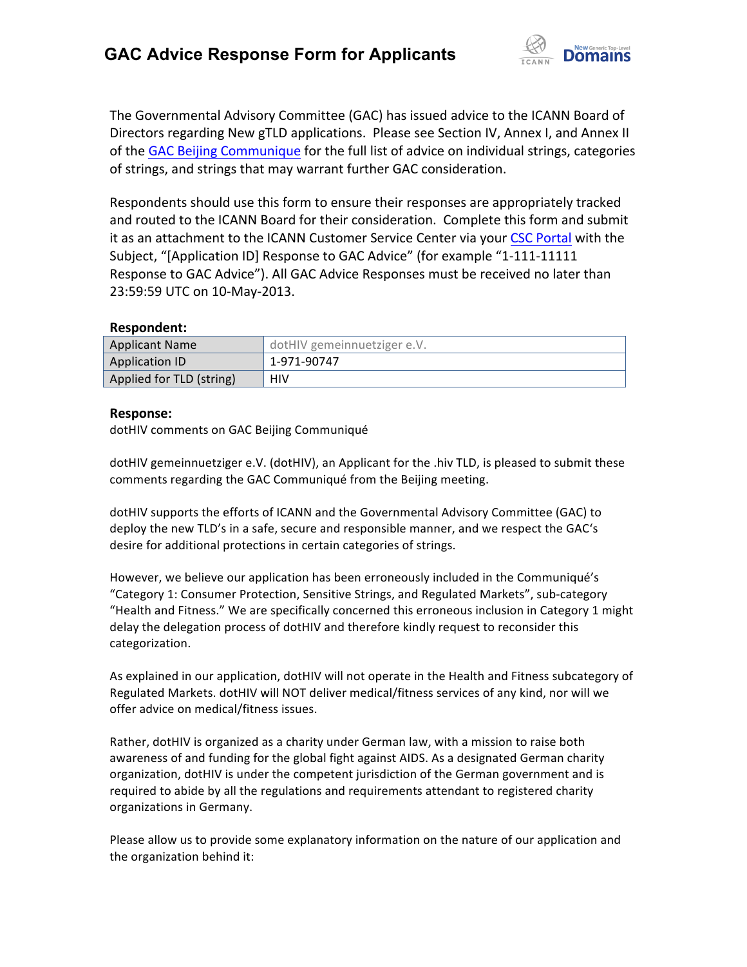

The Governmental Advisory Committee (GAC) has issued advice to the ICANN Board of Directors regarding New gTLD applications. Please see Section IV, Annex I, and Annex II of the GAC Beijing Communique for the full list of advice on individual strings, categories of strings, and strings that may warrant further GAC consideration.

Respondents should use this form to ensure their responses are appropriately tracked and routed to the ICANN Board for their consideration. Complete this form and submit it as an attachment to the ICANN Customer Service Center via your CSC Portal with the Subject, "[Application ID] Response to GAC Advice" (for example "1-111-11111 Response to GAC Advice"). All GAC Advice Responses must be received no later than 23:59:59 UTC on 10-May-2013.

## **Respondent:**

| Applicant Name           | dotHIV gemeinnuetziger e.V. |
|--------------------------|-----------------------------|
| Application ID           | 1-971-90747                 |
| Applied for TLD (string) | HIV                         |

## **Response:**

dotHIV comments on GAC Beijing Communiqué

dotHIV gemeinnuetziger e.V. (dotHIV), an Applicant for the .hiv TLD, is pleased to submit these comments regarding the GAC Communiqué from the Beijing meeting.

dotHIV supports the efforts of ICANN and the Governmental Advisory Committee (GAC) to deploy the new TLD's in a safe, secure and responsible manner, and we respect the GAC's desire for additional protections in certain categories of strings.

However, we believe our application has been erroneously included in the Communiqué's "Category 1: Consumer Protection, Sensitive Strings, and Regulated Markets", sub-category "Health and Fitness." We are specifically concerned this erroneous inclusion in Category 1 might delay the delegation process of dotHIV and therefore kindly request to reconsider this categorization. 

As explained in our application, dotHIV will not operate in the Health and Fitness subcategory of Regulated Markets. dotHIV will NOT deliver medical/fitness services of any kind, nor will we offer advice on medical/fitness issues.

Rather, dotHIV is organized as a charity under German law, with a mission to raise both awareness of and funding for the global fight against AIDS. As a designated German charity organization, dotHIV is under the competent jurisdiction of the German government and is required to abide by all the regulations and requirements attendant to registered charity organizations in Germany.

Please allow us to provide some explanatory information on the nature of our application and the organization behind it: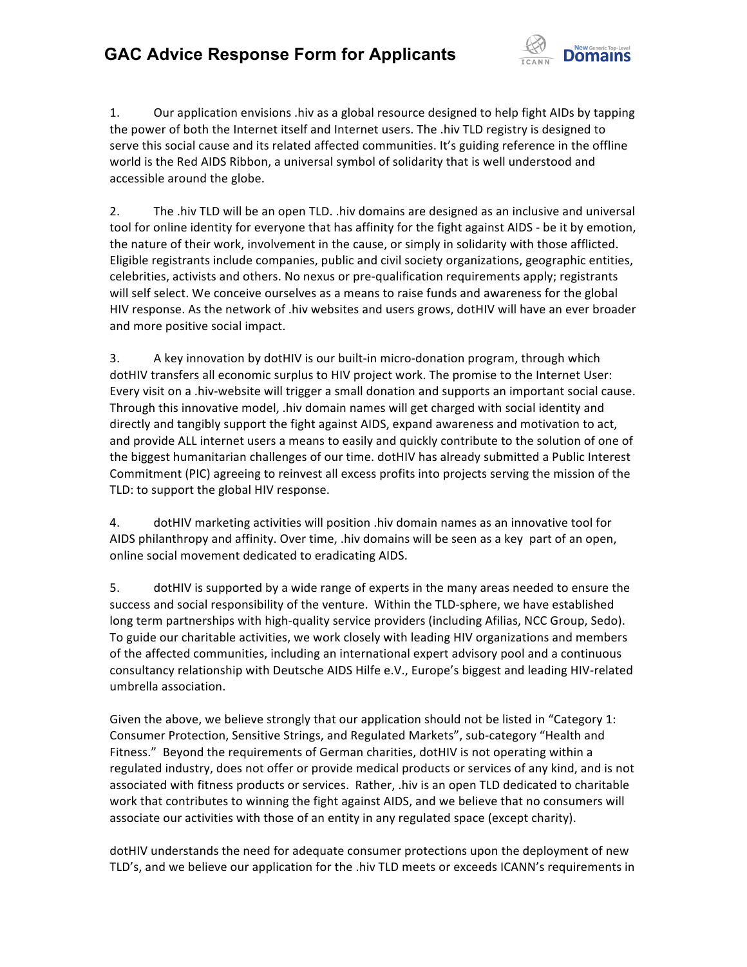

1. Our application envisions .hiv as a global resource designed to help fight AIDs by tapping the power of both the Internet itself and Internet users. The .hiv TLD registry is designed to serve this social cause and its related affected communities. It's guiding reference in the offline world is the Red AIDS Ribbon, a universal symbol of solidarity that is well understood and accessible around the globe.

2. The .hiv TLD will be an open TLD. .hiv domains are designed as an inclusive and universal tool for online identity for everyone that has affinity for the fight against AIDS - be it by emotion, the nature of their work, involvement in the cause, or simply in solidarity with those afflicted. Eligible registrants include companies, public and civil society organizations, geographic entities, celebrities, activists and others. No nexus or pre-qualification requirements apply; registrants will self select. We conceive ourselves as a means to raise funds and awareness for the global HIV response. As the network of .hiv websites and users grows, dotHIV will have an ever broader and more positive social impact.

3. A key innovation by dotHIV is our built-in micro-donation program, through which dotHIV transfers all economic surplus to HIV project work. The promise to the Internet User: Every visit on a .hiv-website will trigger a small donation and supports an important social cause. Through this innovative model, .hiv domain names will get charged with social identity and directly and tangibly support the fight against AIDS, expand awareness and motivation to act, and provide ALL internet users a means to easily and quickly contribute to the solution of one of the biggest humanitarian challenges of our time. dotHIV has already submitted a Public Interest Commitment (PIC) agreeing to reinvest all excess profits into projects serving the mission of the TLD: to support the global HIV response.

4. dotHIV marketing activities will position .hiv domain names as an innovative tool for AIDS philanthropy and affinity. Over time, .hiv domains will be seen as a key part of an open, online social movement dedicated to eradicating AIDS.

5. dotHIV is supported by a wide range of experts in the many areas needed to ensure the success and social responsibility of the venture. Within the TLD-sphere, we have established long term partnerships with high-quality service providers (including Afilias, NCC Group, Sedo). To guide our charitable activities, we work closely with leading HIV organizations and members of the affected communities, including an international expert advisory pool and a continuous consultancy relationship with Deutsche AIDS Hilfe e.V., Europe's biggest and leading HIV-related umbrella association.

Given the above, we believe strongly that our application should not be listed in "Category 1: Consumer Protection, Sensitive Strings, and Regulated Markets", sub-category "Health and Fitness." Beyond the requirements of German charities, dotHIV is not operating within a regulated industry, does not offer or provide medical products or services of any kind, and is not associated with fitness products or services. Rather, .hiv is an open TLD dedicated to charitable work that contributes to winning the fight against AIDS, and we believe that no consumers will associate our activities with those of an entity in any regulated space (except charity).

dotHIV understands the need for adequate consumer protections upon the deployment of new TLD's, and we believe our application for the .hiv TLD meets or exceeds ICANN's requirements in